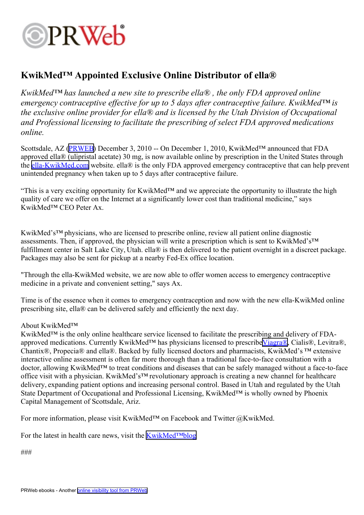

## **KwikMed™ Appointed Exclusive Online Distributor of ella®**

*KwikMed™ has launched <sup>a</sup> new site to prescribe ella® , the only FDA approved online emergency contraceptive effective for up to 5 days after contraceptive failure. KwikMed™ is the exclusive online provider for ella® and is licensed by the Utah Division of Occupational and Professional licensing to facilitate the prescribing of select FDA approved medications online.*

Scottsdale, AZ [\(PRWEB](http://www.prweb.com)) December 3, 2010 -- On December 1, 2010, KwikMed™ announced that FDA approved ella® (ulipristal acetate) 30 mg, is now available online by prescription in the United States through the [ella-KwikMed.com](http://www.ella-KwikMed.com/) website. ella® is the only FDA approved emergency contraceptive that can help prevent unintended pregnancy when taken up to 5 days after contraceptive failure.

"This is <sup>a</sup> very exciting opportunity for KwikMed™ and we appreciate the opportunity to illustrate the high quality of care we offer on the Internet at <sup>a</sup> significantly lower cost than traditional medicine," says KwikMed™ CEO Peter Ax.

KwikMed's™ physicians, who are licensed to prescribe online, review all patient online diagnostic assessments. Then, if approved, the physician will write <sup>a</sup> prescription which is sent to KwikMed's™ fulfillment center in Salt Lake City, Utah. ella® is then delivered to the patient overnight in a discreet package. Packages may also be sent for pickup at <sup>a</sup> nearby Fed-Ex office location.

"Through the ella-KwikMed website, we are now able to offer women access to emergency contraceptive medicine in <sup>a</sup> private and convenient setting," says Ax.

Time is of the essence when it comes to emergency contraception and now with the new ella-KwikMed online prescribing site, ella® can be delivered safely and efficiently the next day.

## About KwikMed™

KwikMed™ is the only online healthcare service licensed to facilitate the prescribing and delivery of FDA-approved medications. Currently KwikMed<sup>™</sup> has physicians licensed to prescribe[Viagra®](http://www.kwikmed.com/viagra.asp), Cialis®, Levitra®, Chantix®, Propecia® and ella®. Backed by fully licensed doctors and pharmacists, KwikMed's ™extensive interactive online assessment is often far more thorough than <sup>a</sup> traditional face-to-face consultation with <sup>a</sup> doctor, allowing KwikMed™ to treat conditions and diseases that can be safely managed without <sup>a</sup> face-to-face office visit with <sup>a</sup> physician. KwikMed's™ revolutionary approach is creating <sup>a</sup> new channel for healthcare delivery, expanding patient options and increasing personal control. Based in Utah and regulated by the Utah State Department of Occupational and Professional Licensing, KwikMed™ is wholly owned by Phoenix Capital Management of Scottsdale, Ariz.

For more information, please visit KwikMed<sup>™</sup> on Facebook and Twitter @KwikMed.

For the latest in health care news, visit the [KwikMed™blog](http://kwikblog.kwikmed.com/)

###